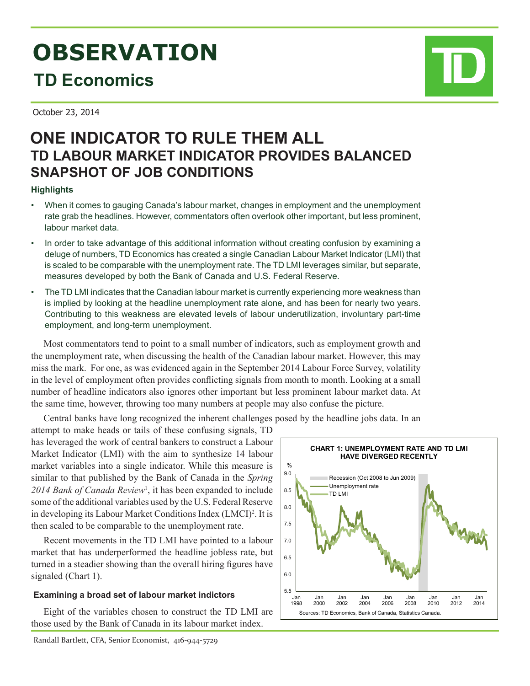# **OBSERVATION TD Economics**

October 23, 2014

# **ONE INDICATOR TO RULE THEM ALL TD LABOUR MARKET INDICATOR PROVIDES BALANCED SNAPSHOT OF JOB CONDITIONS**

## **Highlights**

- When it comes to gauging Canada's labour market, changes in employment and the unemployment rate grab the headlines. However, commentators often overlook other important, but less prominent, labour market data.
- In order to take advantage of this additional information without creating confusion by examining a deluge of numbers, TD Economics has created a single Canadian Labour Market Indicator (LMI) that is scaled to be comparable with the unemployment rate. The TD LMI leverages similar, but separate, measures developed by both the Bank of Canada and U.S. Federal Reserve.
- The TD LMI indicates that the Canadian labour market is currently experiencing more weakness than is implied by looking at the headline unemployment rate alone, and has been for nearly two years. Contributing to this weakness are elevated levels of labour underutilization, involuntary part-time employment, and long-term unemployment.

Most commentators tend to point to a small number of indicators, such as employment growth and the unemployment rate, when discussing the health of the Canadian labour market. However, this may miss the mark. For one, as was evidenced again in the September 2014 Labour Force Survey, volatility in the level of employment often provides conflicting signals from month to month. Looking at a small number of headline indicators also ignores other important but less prominent labour market data. At the same time, however, throwing too many numbers at people may also confuse the picture.

Central banks have long recognized the inherent challenges posed by the headline jobs data. In an

attempt to make heads or tails of these confusing signals, TD has leveraged the work of central bankers to construct a Labour Market Indicator (LMI) with the aim to synthesize 14 labour market variables into a single indicator. While this measure is similar to that published by the Bank of Canada in the *Spring 2014 Bank of Canada Review*<sup>1</sup> , it has been expanded to include some of the additional variables used by the U.S. Federal Reserve in developing its Labour Market Conditions Index (LMCI)<sup>2</sup>. It is then scaled to be comparable to the unemployment rate.

Recent movements in the TD LMI have pointed to a labour market that has underperformed the headline jobless rate, but turned in a steadier showing than the overall hiring figures have signaled (Chart 1).

### **Examining a broad set of labour market indictors**

Eight of the variables chosen to construct the TD LMI are those used by the Bank of Canada in its labour market index.



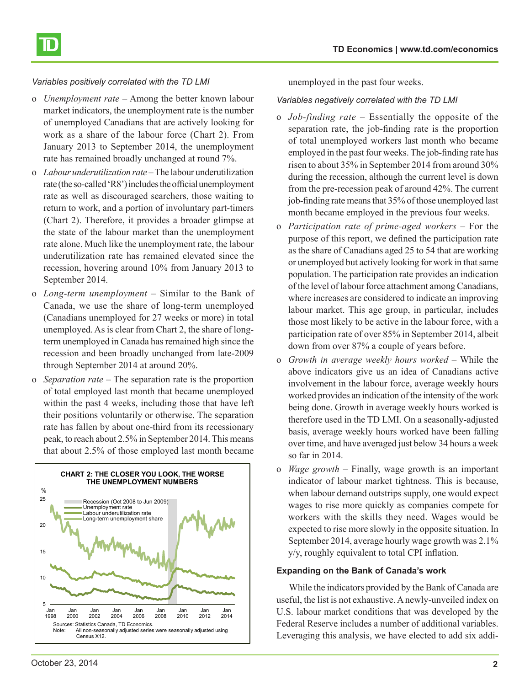

#### *Variables positively correlated with the TD LMI*

- o *Unemployment rate* Among the better known labour market indicators, the unemployment rate is the number of unemployed Canadians that are actively looking for work as a share of the labour force (Chart 2). From January 2013 to September 2014, the unemployment rate has remained broadly unchanged at round 7%.
- o *Labour underutilization rate*  The labour underutilization rate (the so-called 'R8') includes the official unemployment rate as well as discouraged searchers, those waiting to return to work, and a portion of involuntary part-timers (Chart 2). Therefore, it provides a broader glimpse at the state of the labour market than the unemployment rate alone. Much like the unemployment rate, the labour underutilization rate has remained elevated since the recession, hovering around 10% from January 2013 to September 2014.
- o *Long-term unemployment* Similar to the Bank of Canada, we use the share of long-term unemployed (Canadians unemployed for 27 weeks or more) in total unemployed. As is clear from Chart 2, the share of longterm unemployed in Canada has remained high since the recession and been broadly unchanged from late-2009 through September 2014 at around 20%.
- o *Separation rate* The separation rate is the proportion of total employed last month that became unemployed within the past 4 weeks, including those that have left their positions voluntarily or otherwise. The separation rate has fallen by about one-third from its recessionary peak, to reach about 2.5% in September 2014. This means that about 2.5% of those employed last month became



unemployed in the past four weeks.

#### *Variables negatively correlated with the TD LMI*

- o *Job-finding rate* Essentially the opposite of the separation rate, the job-finding rate is the proportion of total unemployed workers last month who became employed in the past four weeks. The job-finding rate has risen to about 35% in September 2014 from around 30% during the recession, although the current level is down from the pre-recession peak of around 42%. The current job-finding rate means that 35% of those unemployed last month became employed in the previous four weeks.
- o *Participation rate of prime-aged workers* For the purpose of this report, we defined the participation rate as the share of Canadians aged 25 to 54 that are working or unemployed but actively looking for work in that same population. The participation rate provides an indication of the level of labour force attachment among Canadians, where increases are considered to indicate an improving labour market. This age group, in particular, includes those most likely to be active in the labour force, with a participation rate of over 85% in September 2014, albeit down from over 87% a couple of years before.
- o *Growth in average weekly hours worked*  While the above indicators give us an idea of Canadians active involvement in the labour force, average weekly hours worked provides an indication of the intensity of the work being done. Growth in average weekly hours worked is therefore used in the TD LMI. On a seasonally-adjusted basis, average weekly hours worked have been falling over time, and have averaged just below 34 hours a week so far in 2014.
- o *Wage growth* Finally, wage growth is an important indicator of labour market tightness. This is because, when labour demand outstrips supply, one would expect wages to rise more quickly as companies compete for workers with the skills they need. Wages would be expected to rise more slowly in the opposite situation. In September 2014, average hourly wage growth was 2.1% y/y, roughly equivalent to total CPI inflation.

#### **Expanding on the Bank of Canada's work**

While the indicators provided by the Bank of Canada are useful, the list is not exhaustive. A newly-unveiled index on U.S. labour market conditions that was developed by the Federal Reserve includes a number of additional variables. Leveraging this analysis, we have elected to add six addi-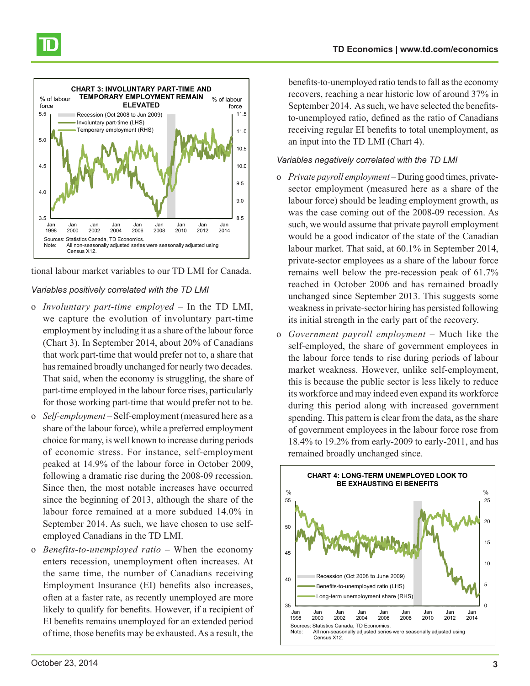

tional labour market variables to our TD LMI for Canada.

#### *Variables positively correlated with the TD LMI*

- o *Involuntary part-time employed*  In the TD LMI, we capture the evolution of involuntary part-time employment by including it as a share of the labour force (Chart 3). In September 2014, about 20% of Canadians that work part-time that would prefer not to, a share that has remained broadly unchanged for nearly two decades. That said, when the economy is struggling, the share of part-time employed in the labour force rises, particularly for those working part-time that would prefer not to be.
- o *Self-employment*  Self-employment (measured here as a share of the labour force), while a preferred employment choice for many, is well known to increase during periods of economic stress. For instance, self-employment peaked at 14.9% of the labour force in October 2009, following a dramatic rise during the 2008-09 recession. Since then, the most notable increases have occurred since the beginning of 2013, although the share of the labour force remained at a more subdued 14.0% in September 2014. As such, we have chosen to use selfemployed Canadians in the TD LMI.
- o *Benefits-to-unemployed ratio*  When the economy enters recession, unemployment often increases. At the same time, the number of Canadians receiving Employment Insurance (EI) benefits also increases, often at a faster rate, as recently unemployed are more likely to qualify for benefits. However, if a recipient of EI benefits remains unemployed for an extended period of time, those benefits may be exhausted. As a result, the

benefits-to-unemployed ratio tends to fall as the economy recovers, reaching a near historic low of around 37% in September 2014. As such, we have selected the benefitsto-unemployed ratio, defined as the ratio of Canadians receiving regular EI benefits to total unemployment, as an input into the TD LMI (Chart 4).

#### *Variables negatively correlated with the TD LMI*

- o *Private payroll employment*  During good times, privatesector employment (measured here as a share of the labour force) should be leading employment growth, as was the case coming out of the 2008-09 recession. As such, we would assume that private payroll employment would be a good indicator of the state of the Canadian labour market. That said, at 60.1% in September 2014, private-sector employees as a share of the labour force remains well below the pre-recession peak of 61.7% reached in October 2006 and has remained broadly unchanged since September 2013. This suggests some weakness in private-sector hiring has persisted following its initial strength in the early part of the recovery.
- o *Government payroll employment* Much like the self-employed, the share of government employees in the labour force tends to rise during periods of labour market weakness. However, unlike self-employment, this is because the public sector is less likely to reduce its workforce and may indeed even expand its workforce during this period along with increased government spending. This pattern is clear from the data, as the share of government employees in the labour force rose from 18.4% to 19.2% from early-2009 to early-2011, and has remained broadly unchanged since.

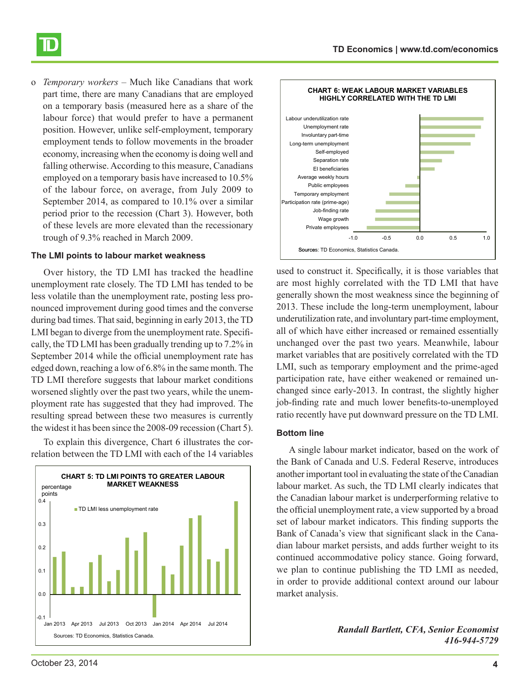o *Temporary workers* – Much like Canadians that work part time, there are many Canadians that are employed on a temporary basis (measured here as a share of the labour force) that would prefer to have a permanent position. However, unlike self-employment, temporary employment tends to follow movements in the broader economy, increasing when the economy is doing well and falling otherwise. According to this measure, Canadians employed on a temporary basis have increased to 10.5% of the labour force, on average, from July 2009 to September 2014, as compared to 10.1% over a similar period prior to the recession (Chart 3). However, both of these levels are more elevated than the recessionary trough of 9.3% reached in March 2009.

#### **The LMI points to labour market weakness**

Over history, the TD LMI has tracked the headline unemployment rate closely. The TD LMI has tended to be less volatile than the unemployment rate, posting less pronounced improvement during good times and the converse during bad times. That said, beginning in early 2013, the TD LMI began to diverge from the unemployment rate. Specifically, the TD LMI has been gradually trending up to 7.2% in September 2014 while the official unemployment rate has edged down, reaching a low of 6.8% in the same month. The TD LMI therefore suggests that labour market conditions worsened slightly over the past two years, while the unemployment rate has suggested that they had improved. The resulting spread between these two measures is currently the widest it has been since the 2008-09 recession (Chart 5).

To explain this divergence, Chart 6 illustrates the correlation between the TD LMI with each of the 14 variables





used to construct it. Specifically, it is those variables that are most highly correlated with the TD LMI that have generally shown the most weakness since the beginning of 2013. These include the long-term unemployment, labour underutilization rate, and involuntary part-time employment, all of which have either increased or remained essentially unchanged over the past two years. Meanwhile, labour market variables that are positively correlated with the TD LMI, such as temporary employment and the prime-aged participation rate, have either weakened or remained unchanged since early-2013. In contrast, the slightly higher job-finding rate and much lower benefits-to-unemployed ratio recently have put downward pressure on the TD LMI.

#### **Bottom line**

A single labour market indicator, based on the work of the Bank of Canada and U.S. Federal Reserve, introduces another important tool in evaluating the state of the Canadian labour market. As such, the TD LMI clearly indicates that the Canadian labour market is underperforming relative to the official unemployment rate, a view supported by a broad set of labour market indicators. This finding supports the Bank of Canada's view that significant slack in the Canadian labour market persists, and adds further weight to its continued accommodative policy stance. Going forward, we plan to continue publishing the TD LMI as needed, in order to provide additional context around our labour market analysis.

> *Randall Bartlett, CFA, Senior Economist 416-944-5729*